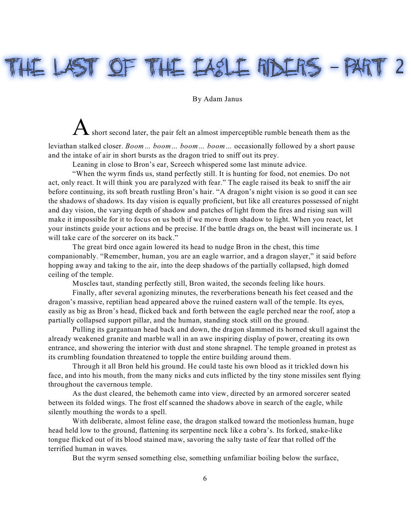## HE LAST OF THE EASLE RIDERS - PAR

By Adam Janus

A short second later, the pair felt an almost imperceptible rumble beneath them as the

leviathan stalked closer. *Boom… boom… boom… boom…* occasionally followed by a short pause and the intake of air in short bursts as the dragon tried to sniff out its prey.

Leaning in close to Bron's ear, Screech whispered some last minute advice.

"When the wyrm finds us, stand perfectly still. It is hunting for food, not enemies. Do not act, only react. It will think you are paralyzed with fear." The eagle raised its beak to sniff the air before continuing, its soft breath rustling Bron's hair. "A dragon's night vision is so good it can see the shadows of shadows. Its day vision is equally proficient, but like all creatures possessed of night and day vision, the varying depth of shadow and patches of light from the fires and rising sun will make it impossible for it to focus on us both if we move from shadow to light. When you react, let your instincts guide your actions and be precise. If the battle drags on, the beast will incinerate us. I will take care of the sorcerer on its back."

The great bird once again lowered its head to nudge Bron in the chest, this time companionably. "Remember, human, you are an eagle warrior, and a dragon slayer," it said before hopping away and taking to the air, into the deep shadows of the partially collapsed, high domed ceiling of the temple.

Muscles taut, standing perfectly still, Bron waited, the seconds feeling like hours.

Finally, after several agonizing minutes, the reverberations beneath his feet ceased and the dragon's massive, reptilian head appeared above the ruined eastern wall of the temple. Its eyes, easily as big as Bron's head, flicked back and forth between the eagle perched near the roof, atop a partially collapsed support pillar, and the human, standing stock still on the ground.

Pulling its gargantuan head back and down, the dragon slammed its horned skull against the already weakened granite and marble wall in an awe inspiring display of power, creating its own entrance, and showering the interior with dust and stone shrapnel. The temple groaned in protest as its crumbling foundation threatened to topple the entire building around them.

Through it all Bron held his ground. He could taste his own blood as it trickled down his face, and into his mouth, from the many nicks and cuts inflicted by the tiny stone missiles sent flying throughout the cavernous temple.

As the dust cleared, the behemoth came into view, directed by an armored sorcerer seated between its folded wings. The frost elf scanned the shadows above in search of the eagle, while silently mouthing the words to a spell.

With deliberate, almost feline ease, the dragon stalked toward the motionless human, huge head held low to the ground, flattening its serpentine neck like a cobra's. Its forked, snake-like tongue flicked out of its blood stained maw, savoring the salty taste of fear that rolled off the terrified human in waves.

But the wyrm sensed something else, something unfamiliar boiling below the surface,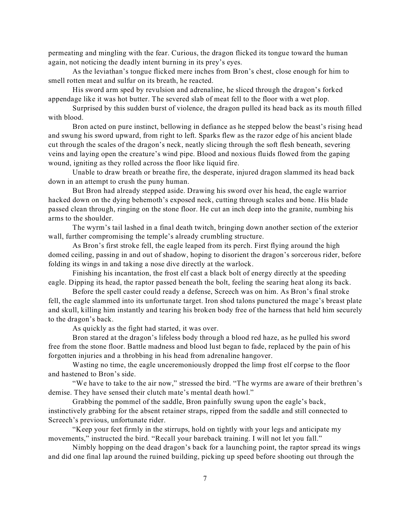permeating and mingling with the fear. Curious, the dragon flicked its tongue toward the human again, not noticing the deadly intent burning in its prey's eyes.

As the leviathan's tongue flicked mere inches from Bron's chest, close enough for him to smell rotten meat and sulfur on its breath, he reacted.

His sword arm sped by revulsion and adrenaline, he sliced through the dragon's forked appendage like it was hot butter. The severed slab of meat fell to the floor with a wet plop.

Surprised by this sudden burst of violence, the dragon pulled its head back as its mouth filled with blood.

Bron acted on pure instinct, bellowing in defiance as he stepped below the beast's rising head and swung his sword upward, from right to left. Sparks flew as the razor edge of his ancient blade cut through the scales of the dragon's neck, neatly slicing through the soft flesh beneath, severing veins and laying open the creature's wind pipe. Blood and noxious fluids flowed from the gaping wound, igniting as they rolled across the floor like liquid fire.

Unable to draw breath or breathe fire, the desperate, injured dragon slammed its head back down in an attempt to crush the puny human.

But Bron had already stepped aside. Drawing his sword over his head, the eagle warrior hacked down on the dying behemoth's exposed neck, cutting through scales and bone. His blade passed clean through, ringing on the stone floor. He cut an inch deep into the granite, numbing his arms to the shoulder.

The wyrm's tail lashed in a final death twitch, bringing down another section of the exterior wall, further compromising the temple's already crumbling structure.

As Bron's first stroke fell, the eagle leaped from its perch. First flying around the high domed ceiling, passing in and out of shadow, hoping to disorient the dragon's sorcerous rider, before folding its wings in and taking a nose dive directly at the warlock.

Finishing his incantation, the frost elf cast a black bolt of energy directly at the speeding eagle. Dipping its head, the raptor passed beneath the bolt, feeling the searing heat along its back.

Before the spell caster could ready a defense, Screech was on him. As Bron's final stroke fell, the eagle slammed into its unfortunate target. Iron shod talons punctured the mage's breast plate and skull, killing him instantly and tearing his broken body free of the harness that held him securely to the dragon's back.

As quickly as the fight had started, it was over.

Bron stared at the dragon's lifeless body through a blood red haze, as he pulled his sword free from the stone floor. Battle madness and blood lust began to fade, replaced by the pain of his forgotten injuries and a throbbing in his head from adrenaline hangover.

Wasting no time, the eagle unceremoniously dropped the limp frost elf corpse to the floor and hastened to Bron's side.

"We have to take to the air now," stressed the bird. "The wyrms are aware of their brethren's demise. They have sensed their clutch mate's mental death howl."

Grabbing the pommel of the saddle, Bron painfully swung upon the eagle's back, instinctively grabbing for the absent retainer straps, ripped from the saddle and still connected to Screech's previous, unfortunate rider.

"Keep your feet firmly in the stirrups, hold on tightly with your legs and anticipate my movements," instructed the bird. "Recall your bareback training. I will not let you fall."

Nimbly hopping on the dead dragon's back for a launching point, the raptor spread its wings and did one final lap around the ruined building, picking up speed before shooting out through the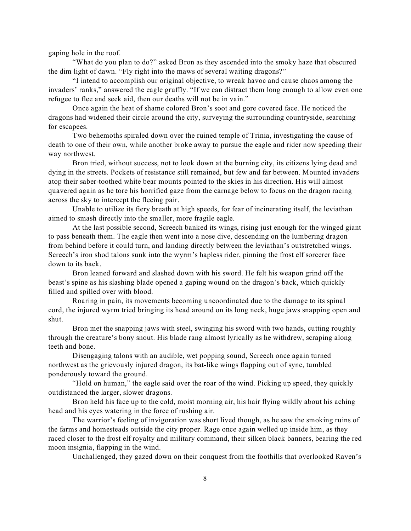gaping hole in the roof.

"What do you plan to do?" asked Bron as they ascended into the smoky haze that obscured the dim light of dawn. "Fly right into the maws of several waiting dragons?"

"I intend to accomplish our original objective, to wreak havoc and cause chaos among the invaders' ranks," answered the eagle gruffly. "If we can distract them long enough to allow even one refugee to flee and seek aid, then our deaths will not be in vain."

Once again the heat of shame colored Bron's soot and gore covered face. He noticed the dragons had widened their circle around the city, surveying the surrounding countryside, searching for escapees.

Two behemoths spiraled down over the ruined temple of Trinia, investigating the cause of death to one of their own, while another broke away to pursue the eagle and rider now speeding their way northwest.

Bron tried, without success, not to look down at the burning city, its citizens lying dead and dying in the streets. Pockets of resistance still remained, but few and far between. Mounted invaders atop their saber-toothed white bear mounts pointed to the skies in his direction. His will almost quavered again as he tore his horrified gaze from the carnage below to focus on the dragon racing across the sky to intercept the fleeing pair.

Unable to utilize its fiery breath at high speeds, for fear of incinerating itself, the leviathan aimed to smash directly into the smaller, more fragile eagle.

At the last possible second, Screech banked its wings, rising just enough for the winged giant to pass beneath them. The eagle then went into a nose dive, descending on the lumbering dragon from behind before it could turn, and landing directly between the leviathan's outstretched wings. Screech's iron shod talons sunk into the wyrm's hapless rider, pinning the frost elf sorcerer face down to its back.

Bron leaned forward and slashed down with his sword. He felt his weapon grind off the beast's spine as his slashing blade opened a gaping wound on the dragon's back, which quickly filled and spilled over with blood.

Roaring in pain, its movements becoming uncoordinated due to the damage to its spinal cord, the injured wyrm tried bringing its head around on its long neck, huge jaws snapping open and shut.

Bron met the snapping jaws with steel, swinging his sword with two hands, cutting roughly through the creature's bony snout. His blade rang almost lyrically as he withdrew, scraping along teeth and bone.

Disengaging talons with an audible, wet popping sound, Screech once again turned northwest as the grievously injured dragon, its bat-like wings flapping out of sync, tumbled ponderously toward the ground.

"Hold on human," the eagle said over the roar of the wind. Picking up speed, they quickly outdistanced the larger, slower dragons.

Bron held his face up to the cold, moist morning air, his hair flying wildly about his aching head and his eyes watering in the force of rushing air.

The warrior's feeling of invigoration was short lived though, as he saw the smoking ruins of the farms and homesteads outside the city proper. Rage once again welled up inside him, as they raced closer to the frost elf royalty and military command, their silken black banners, bearing the red moon insignia, flapping in the wind.

Unchallenged, they gazed down on their conquest from the foothills that overlooked Raven's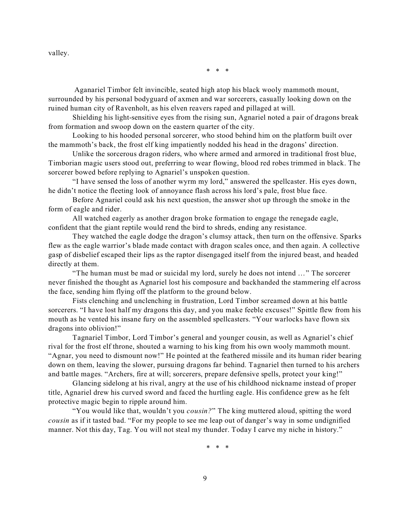valley.

\* \* \*

Aganariel Timbor felt invincible, seated high atop his black wooly mammoth mount, surrounded by his personal bodyguard of axmen and war sorcerers, casually looking down on the ruined human city of Ravenholt, as his elven reavers raped and pillaged at will.

Shielding his light-sensitive eyes from the rising sun, Agnariel noted a pair of dragons break from formation and swoop down on the eastern quarter of the city.

Looking to his hooded personal sorcerer, who stood behind him on the platform built over the mammoth's back, the frost elf king impatiently nodded his head in the dragons' direction.

Unlike the sorcerous dragon riders, who where armed and armored in traditional frost blue, Timborian magic users stood out, preferring to wear flowing, blood red robes trimmed in black. The sorcerer bowed before replying to Agnariel's unspoken question.

"I have sensed the loss of another wyrm my lord," answered the spellcaster. His eyes down, he didn't notice the fleeting look of annoyance flash across his lord's pale, frost blue face.

Before Agnariel could ask his next question, the answer shot up through the smoke in the form of eagle and rider.

All watched eagerly as another dragon broke formation to engage the renegade eagle, confident that the giant reptile would rend the bird to shreds, ending any resistance.

They watched the eagle dodge the dragon's clumsy attack, then turn on the offensive. Sparks flew as the eagle warrior's blade made contact with dragon scales once, and then again. A collective gasp of disbelief escaped their lips as the raptor disengaged itself from the injured beast, and headed directly at them.

"The human must be mad or suicidal my lord, surely he does not intend …" The sorcerer never finished the thought as Agnariel lost his composure and backhanded the stammering elf across the face, sending him flying off the platform to the ground below.

Fists clenching and unclenching in frustration, Lord Timbor screamed down at his battle sorcerers. "I have lost half my dragons this day, and you make feeble excuses!" Spittle flew from his mouth as he vented his insane fury on the assembled spellcasters. "Your warlocks have flown six dragons into oblivion!"

Tagnariel Timbor, Lord Timbor's general and younger cousin, as well as Agnariel's chief rival for the frost elf throne, shouted a warning to his king from his own wooly mammoth mount. "Agnar, you need to dismount now!" He pointed at the feathered missile and its human rider bearing down on them, leaving the slower, pursuing dragons far behind. Tagnariel then turned to his archers and battle mages. "Archers, fire at will; sorcerers, prepare defensive spells, protect your king!"

Glancing sidelong at his rival, angry at the use of his childhood nickname instead of proper title, Agnariel drew his curved sword and faced the hurtling eagle. His confidence grew as he felt protective magic begin to ripple around him.

"You would like that, wouldn't you *cousin?*" The king muttered aloud, spitting the word *cousin* as if it tasted bad. "For my people to see me leap out of danger's way in some undignified manner. Not this day, Tag. You will not steal my thunder. Today I carve my niche in history."

\* \* \*